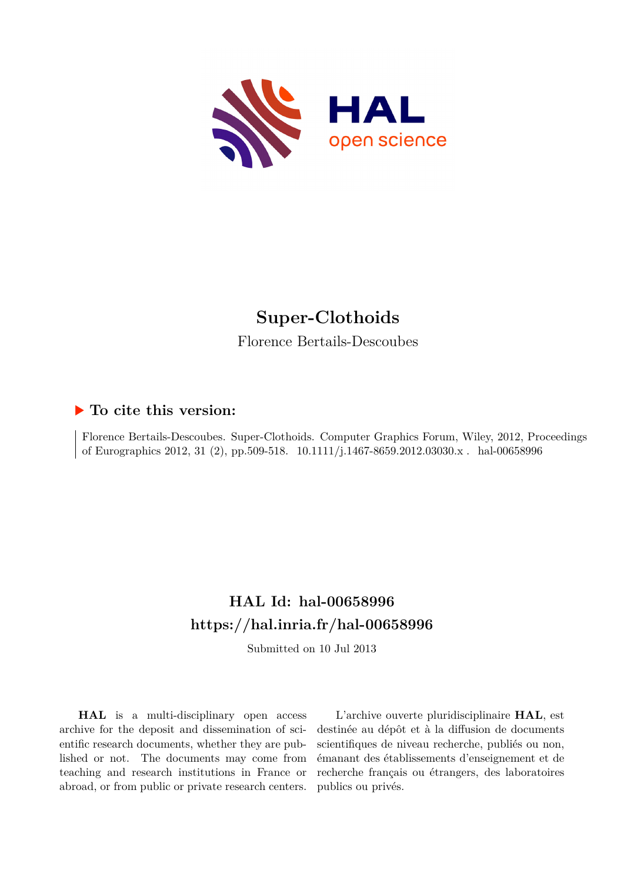

# **Super-Clothoids**

Florence Bertails-Descoubes

## **To cite this version:**

Florence Bertails-Descoubes. Super-Clothoids. Computer Graphics Forum, Wiley, 2012, Proceedings of Eurographics 2012, 31 (2), pp.509-518. 10.1111/j.1467-8659.2012.03030.x. hal-00658996

# **HAL Id: hal-00658996 <https://hal.inria.fr/hal-00658996>**

Submitted on 10 Jul 2013

**HAL** is a multi-disciplinary open access archive for the deposit and dissemination of scientific research documents, whether they are published or not. The documents may come from teaching and research institutions in France or abroad, or from public or private research centers.

L'archive ouverte pluridisciplinaire **HAL**, est destinée au dépôt et à la diffusion de documents scientifiques de niveau recherche, publiés ou non, émanant des établissements d'enseignement et de recherche français ou étrangers, des laboratoires publics ou privés.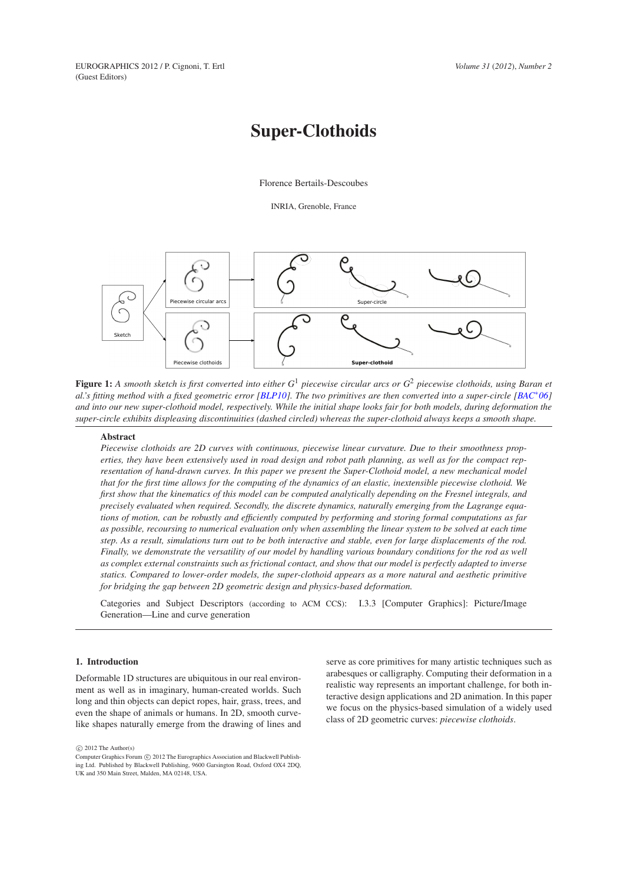## **Super-Clothoids**

Florence Bertails-Descoubes

INRIA, Grenoble, France

<span id="page-1-1"></span>

<span id="page-1-0"></span>**Figure 1:** *A smooth sketch is first converted into either G*<sup>1</sup> *piecewise circular arcs or G*<sup>2</sup> *piecewise clothoids, using Baran et al.'s fitting method with a fixed geometric error [\[BLP10\]](#page-10-0). The two primitives are then converted into a super-circle [\[BAC](#page-9-0)*∗*06] and into our new super-clothoid model, respectively. While the initial shape looks fair for both models, during deformation the super-circle exhibits displeasing discontinuities (dashed circled) whereas the super-clothoid always keeps a smooth shape.*

#### **Abstract**

*Piecewise clothoids are 2D curves with continuous, piecewise linear curvature. Due to their smoothness properties, they have been extensively used in road design and robot path planning, as well as for the compact representation of hand-drawn curves. In this paper we present the Super-Clothoid model, a new mechanical model that for the first time allows for the computing of the dynamics of an elastic, inextensible piecewise clothoid. We first show that the kinematics of this model can be computed analytically depending on the Fresnel integrals, and precisely evaluated when required. Secondly, the discrete dynamics, naturally emerging from the Lagrange equations of motion, can be robustly and efficiently computed by performing and storing formal computations as far as possible, recoursing to numerical evaluation only when assembling the linear system to be solved at each time step. As a result, simulations turn out to be both interactive and stable, even for large displacements of the rod. Finally, we demonstrate the versatility of our model by handling various boundary conditions for the rod as well as complex external constraints such as frictional contact, and show that our model is perfectly adapted to inverse statics. Compared to lower-order models, the super-clothoid appears as a more natural and aesthetic primitive for bridging the gap between 2D geometric design and physics-based deformation.*

Categories and Subject Descriptors (according to ACM CCS): I.3.3 [Computer Graphics]: Picture/Image Generation—Line and curve generation

## **1. Introduction**

Deformable 1D structures are ubiquitous in our real environment as well as in imaginary, human-created worlds. Such long and thin objects can depict ropes, hair, grass, trees, and even the shape of animals or humans. In 2D, smooth curvelike shapes naturally emerge from the drawing of lines and

 $\odot$  2012 The Author(s)

serve as core primitives for many artistic techniques such as arabesques or calligraphy. Computing their deformation in a realistic way represents an important challenge, for both interactive design applications and 2D animation. In this paper we focus on the physics-based simulation of a widely used class of 2D geometric curves: *piecewise clothoids*.

Computer Graphics Forum  $\odot$  2012 The Eurographics Association and Blackwell Publishing Ltd. Published by Blackwell Publishing, 9600 Garsington Road, Oxford OX4 2DQ, UK and 350 Main Street, Malden, MA 02148, USA.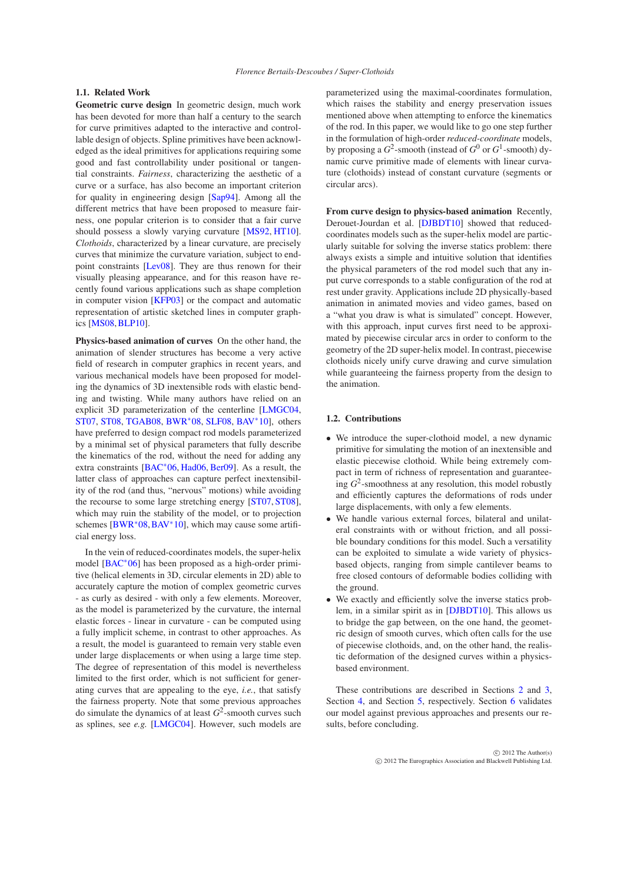## <span id="page-2-0"></span>**1.1. Related Work**

**Geometric curve design** In geometric design, much work has been devoted for more than half a century to the search for curve primitives adapted to the interactive and controllable design of objects. Spline primitives have been acknowledged as the ideal primitives for applications requiring some good and fast controllability under positional or tangential constraints. *Fairness*, characterizing the aesthetic of a curve or a surface, has also become an important criterion for quality in engineering design [\[Sap94\]](#page-10-1). Among all the different metrics that have been proposed to measure fairness, one popular criterion is to consider that a fair curve should possess a slowly varying curvature [\[MS92,](#page-10-2) [HT10\]](#page-10-3). *Clothoids*, characterized by a linear curvature, are precisely curves that minimize the curvature variation, subject to endpoint constraints [\[Lev08\]](#page-10-4). They are thus renown for their visually pleasing appearance, and for this reason have recently found various applications such as shape completion in computer vision [\[KFP03\]](#page-10-5) or the compact and automatic representation of artistic sketched lines in computer graphics [\[MS08,](#page-10-6)[BLP10\]](#page-10-0).

**Physics-based animation of curves** On the other hand, the animation of slender structures has become a very active field of research in computer graphics in recent years, and various mechanical models have been proposed for modeling the dynamics of 3D inextensible rods with elastic bending and twisting. While many authors have relied on an explicit 3D parameterization of the centerline [\[LMGC04,](#page-10-7) [ST07,](#page-10-8) [ST08,](#page-10-9) [TGAB08,](#page-10-10) [BWR](#page-10-11)<sup>\*</sup>08, [SLF08,](#page-10-12) [BAV](#page-10-13)<sup>\*</sup>10], others have preferred to design compact rod models parameterized by a minimal set of physical parameters that fully describe the kinematics of the rod, without the need for adding any extra constraints [\[BAC](#page-9-0)∗06, [Had06,](#page-10-14) [Ber09\]](#page-10-15). As a result, the latter class of approaches can capture perfect inextensibility of the rod (and thus, "nervous" motions) while avoiding the recourse to some large stretching energy [\[ST07,](#page-10-8) [ST08\]](#page-10-9), which may ruin the stability of the model, or to projection schemes  $[BWR*08, BAY*10]$  $[BWR*08, BAY*10]$ , which may cause some artificial energy loss.

In the vein of reduced-coordinates models, the super-helix model [\[BAC](#page-9-0)∗06] has been proposed as a high-order primitive (helical elements in 3D, circular elements in 2D) able to accurately capture the motion of complex geometric curves - as curly as desired - with only a few elements. Moreover, as the model is parameterized by the curvature, the internal elastic forces - linear in curvature - can be computed using a fully implicit scheme, in contrast to other approaches. As a result, the model is guaranteed to remain very stable even under large displacements or when using a large time step. The degree of representation of this model is nevertheless limited to the first order, which is not sufficient for generating curves that are appealing to the eye, *i.e.*, that satisfy the fairness property. Note that some previous approaches do simulate the dynamics of at least  $G^2$ -smooth curves such as splines, see *e.g.* [\[LMGC04\]](#page-10-7). However, such models are

parameterized using the maximal-coordinates formulation, which raises the stability and energy preservation issues mentioned above when attempting to enforce the kinematics of the rod. In this paper, we would like to go one step further in the formulation of high-order *reduced-coordinate* models, by proposing a *G* 2 -smooth (instead of *G* <sup>0</sup> or *G* 1 -smooth) dynamic curve primitive made of elements with linear curvature (clothoids) instead of constant curvature (segments or circular arcs).

**From curve design to physics-based animation** Recently, Derouet-Jourdan et al. [\[DJBDT10\]](#page-10-16) showed that reducedcoordinates models such as the super-helix model are particularly suitable for solving the inverse statics problem: there always exists a simple and intuitive solution that identifies the physical parameters of the rod model such that any input curve corresponds to a stable configuration of the rod at rest under gravity. Applications include 2D physically-based animation in animated movies and video games, based on a "what you draw is what is simulated" concept. However, with this approach, input curves first need to be approximated by piecewise circular arcs in order to conform to the geometry of the 2D super-helix model. In contrast, piecewise clothoids nicely unify curve drawing and curve simulation while guaranteeing the fairness property from the design to the animation.

## **1.2. Contributions**

- We introduce the super-clothoid model, a new dynamic primitive for simulating the motion of an inextensible and elastic piecewise clothoid. While being extremely compact in term of richness of representation and guaranteeing  $G^2$ -smoothness at any resolution, this model robustly and efficiently captures the deformations of rods under large displacements, with only a few elements.
- We handle various external forces, bilateral and unilateral constraints with or without friction, and all possible boundary conditions for this model. Such a versatility can be exploited to simulate a wide variety of physicsbased objects, ranging from simple cantilever beams to free closed contours of deformable bodies colliding with the ground.
- We exactly and efficiently solve the inverse statics problem, in a similar spirit as in [\[DJBDT10\]](#page-10-16). This allows us to bridge the gap between, on the one hand, the geometric design of smooth curves, which often calls for the use of piecewise clothoids, and, on the other hand, the realistic deformation of the designed curves within a physicsbased environment.

These contributions are described in Sections [2](#page-3-0) and [3,](#page-4-0) Section [4,](#page-6-0) and Section [5,](#page-7-0) respectively. Section [6](#page-8-0) validates our model against previous approaches and presents our results, before concluding.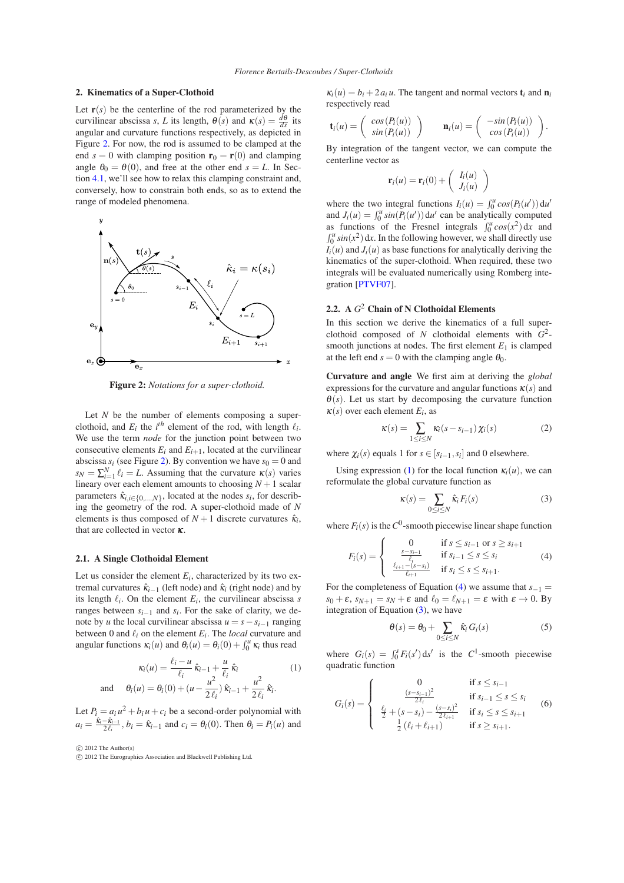## <span id="page-3-5"></span><span id="page-3-0"></span>**2. Kinematics of a Super-Clothoid**

Let  $\mathbf{r}(s)$  be the centerline of the rod parameterized by the curvilinear abscissa *s*, *L* its length,  $\theta(s)$  and  $\kappa(s) = \frac{d\theta}{ds}$  its angular and curvature functions respectively, as depicted in Figure [2.](#page-3-1) For now, the rod is assumed to be clamped at the end  $s = 0$  with clamping position  $\mathbf{r}_0 = \mathbf{r}(0)$  and clamping angle  $\theta_0 = \theta(0)$ , and free at the other end  $s = L$ . In Section [4.1,](#page-6-1) we'll see how to relax this clamping constraint and, conversely, how to constrain both ends, so as to extend the range of modeled phenomena.

<span id="page-3-1"></span>

**Figure 2:** *Notations for a super-clothoid.*

Let *N* be the number of elements composing a superclothoid, and  $E_i$  the  $i^{th}$  element of the rod, with length  $\ell_i$ . We use the term *node* for the junction point between two consecutive elements  $E_i$  and  $E_{i+1}$ , located at the curvilinear abscissa  $s_i$  (see Figure [2\)](#page-3-1). By convention we have  $s_0 = 0$  and  $s_N = \sum_{i=1}^N \ell_i = L$ . Assuming that the curvature  $\kappa(s)$  varies lineary over each element amounts to choosing  $N + 1$  scalar parameters  $\hat{\kappa}_{i,i \in \{0,\dots,N\}}$ , located at the nodes  $s_i$ , for describing the geometry of the rod. A super-clothoid made of *N* elements is thus composed of  $N + 1$  discrete curvatures  $\hat{\kappa}_i$ , that are collected in vector <sup>κ</sup>.

## **2.1. A Single Clothoidal Element**

Let us consider the element  $E_i$ , characterized by its two extremal curvatures  $\hat{\kappa}_{i-1}$  (left node) and  $\hat{\kappa}_i$  (right node) and by its length  $\ell_i$ . On the element  $E_i$ , the curvilinear abscissa *s* ranges between *si*−<sup>1</sup> and *s<sup>i</sup>* . For the sake of clarity, we denote by *u* the local curvilinear abscissa  $u = s - s_{i-1}$  ranging between 0 and  $\ell_i$  on the element  $E_i$ . The *local* curvature and angular functions  $\kappa_i(u)$  and  $\theta_i(u) = \theta_i(0) + \int_0^u \kappa_i$  thus read

$$
\kappa_i(u) = \frac{\ell_i - u}{\ell_i} \hat{\kappa}_{i-1} + \frac{u}{\ell_i} \hat{\kappa}_i
$$
\n
$$
\theta_i(u) = \theta_i(0) + (u - \frac{u^2}{2\ell_i}) \hat{\kappa}_{i-1} + \frac{u^2}{2\ell_i} \hat{\kappa}_i.
$$
\n(1)

Let  $P_i = a_i u^2 + b_i u + c_i$  be a second-order polynomial with  $a_i = \frac{\hat{\kappa}_i - \hat{\kappa}_{i-1}}{2\ell_i}, b_i = \hat{\kappa}_{i-1}$  and  $c_i = \theta_i(0)$ . Then  $\theta_i = P_i(u)$  and

 $\circ$  2012 The Author(s)

 $\kappa_i(u) = b_i + 2a_iu$ . The tangent and normal vectors **t**<sub>*i*</sub> and **n**<sub>*i*</sub> respectively read

$$
\mathbf{t}_i(u) = \begin{pmatrix} \cos(P_i(u)) \\ \sin(P_i(u)) \end{pmatrix} \qquad \mathbf{n}_i(u) = \begin{pmatrix} -\sin(P_i(u)) \\ \cos(P_i(u)) \end{pmatrix}.
$$

By integration of the tangent vector, we can compute the centerline vector as

$$
\mathbf{r}_i(u) = \mathbf{r}_i(0) + \begin{pmatrix} I_i(u) \\ J_i(u) \end{pmatrix}
$$

where the two integral functions  $I_i(u) = \int_0^u \cos(P_i(u')) du'$ and  $J_i(u) = \int_0^u \sin(P_i(u')) du'$  can be analytically computed as functions of the Fresnel integrals  $\int_0^u \cos(x^2) dx$  and  $\int_0^u \sin(x^2) dx$ . In the following however, we shall directly use  $I_i(u)$  and  $J_i(u)$  as base functions for analytically deriving the kinematics of the super-clothoid. When required, these two integrals will be evaluated numerically using Romberg integration [\[PTVF07\]](#page-10-17).

## **2.2. A** *G* <sup>2</sup> **Chain of N Clothoidal Elements**

In this section we derive the kinematics of a full superclothoid composed of  $N$  clothoidal elements with  $G^2$ smooth junctions at nodes. The first element  $E_1$  is clamped at the left end  $s = 0$  with the clamping angle  $\theta_0$ .

**Curvature and angle** We first aim at deriving the *global* expressions for the curvature and angular functions  $\kappa(s)$  and  $\theta(s)$ . Let us start by decomposing the curvature function  $\kappa(s)$  over each element  $E_i$ , as

$$
\kappa(s) = \sum_{1 \le i \le N} \kappa_i(s - s_{i-1}) \chi_i(s)
$$
 (2)

where  $\chi_i(s)$  equals 1 for  $s \in [s_{i-1}, s_i]$  and 0 elsewhere.

Using expression [\(1\)](#page-3-2) for the local function  $\kappa_i(u)$ , we can reformulate the global curvature function as

<span id="page-3-4"></span><span id="page-3-3"></span>
$$
\kappa(s) = \sum_{0 \le i \le N} \hat{\kappa}_i F_i(s) \tag{3}
$$

where  $F_i(s)$  is the  $C^0$ -smooth piecewise linear shape function

$$
F_i(s) = \begin{cases} 0 & \text{if } s \le s_{i-1} \text{ or } s \ge s_{i+1} \\ \frac{s - s_{i-1}}{\ell_i} & \text{if } s_{i-1} \le s \le s_i \\ \frac{\ell_{i+1} - (s - s_i)}{\ell_{i+1}} & \text{if } s_i \le s \le s_{i+1}. \end{cases} (4)
$$

For the completeness of Equation [\(4\)](#page-3-3) we assume that  $s_{-1}$  =  $s_0 + \varepsilon$ ,  $s_{N+1} = s_N + \varepsilon$  and  $\ell_0 = \ell_{N+1} = \varepsilon$  with  $\varepsilon \to 0$ . By integration of Equation  $(3)$ , we have

$$
\theta(s) = \theta_0 + \sum_{0 \le i \le N} \hat{\kappa}_i G_i(s)
$$
\n(5)

<span id="page-3-2"></span>where  $G_i(s) = \int_0^s F_i(s') ds'$  is the *C*<sup>1</sup>-smooth piecewise quadratic function

$$
G_i(s) = \begin{cases} 0 & \text{if } s \le s_{i-1} \\ \frac{(s-s_{i-1})^2}{2\ell_i} & \text{if } s_{i-1} \le s \le s_i \\ \frac{\ell_i}{2} + (s-s_i) - \frac{(s-s_i)^2}{2\ell_{i+1}} & \text{if } s_i \le s \le s_{i+1} \\ \frac{1}{2}(\ell_i + \ell_{i+1}) & \text{if } s \ge s_{i+1}. \end{cases} (6)
$$

 $\odot$  2012 The Eurographics Association and Blackwell Publishing Ltd.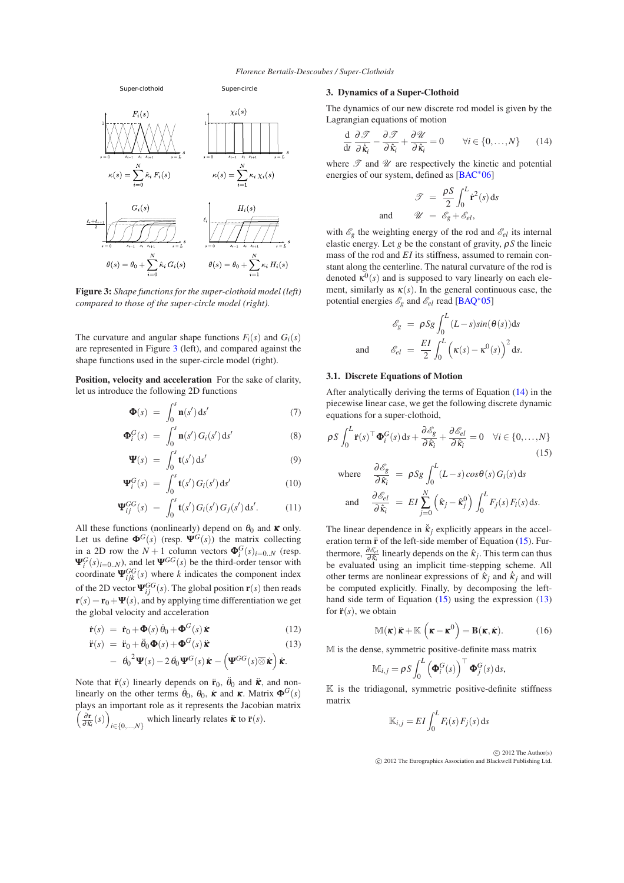*Florence Bertails-Descoubes / Super-Clothoids*

<span id="page-4-6"></span><span id="page-4-1"></span>

**Figure 3:** *Shape functions for the super-clothoid model (left) compared to those of the super-circle model (right).*

The curvature and angular shape functions  $F_i(s)$  and  $G_i(s)$ are represented in Figure [3](#page-4-1) (left), and compared against the shape functions used in the super-circle model (right).

**Position, velocity and acceleration** For the sake of clarity, let us introduce the following 2D functions

$$
\mathbf{\Phi}(s) = \int_0^s \mathbf{n}(s') \, \mathrm{d}s' \tag{7}
$$

$$
\Phi_i^G(s) = \int_0^s \mathbf{n}(s') G_i(s') ds' \tag{8}
$$

$$
\Psi(s) = \int_0^s \mathbf{t}(s') \, \mathrm{d}s' \tag{9}
$$

$$
\mathbf{\Psi}_i^G(s) = \int_0^s \mathbf{t}(s') G_i(s') ds' \tag{10}
$$

$$
\mathbf{\Psi}_{ij}^{GG}(s) = \int_0^s \mathbf{t}(s') G_i(s') G_j(s') ds'. \tag{11}
$$

All these functions (nonlinearly) depend on  $\theta_0$  and  $\kappa$  only. Let us define  $\Phi^G(s)$  (resp.  $\Psi^G(s)$ ) the matrix collecting in a 2D row the  $N+1$  column vectors  $\mathbf{\Phi}_i^G(s)_{i=0..N}$  (resp.  $\Psi_i^G(s)_{i=0..N}$ , and let  $\Psi^{GG}(s)$  be the third-order tensor with coordinate  $\Psi_{ijk}^{GG}(s)$  where *k* indicates the component index of the 2D vector  $\Psi_{ij}^{GG}(s)$ . The global position  $\mathbf{r}(s)$  then reads  $\mathbf{r}(s) = \mathbf{r}_0 + \mathbf{\Psi}(s)$ , and by applying time differentiation we get the global velocity and acceleration

<span id="page-4-4"></span>
$$
\dot{\mathbf{r}}(s) = \dot{\mathbf{r}}_0 + \mathbf{\Phi}(s) \dot{\theta}_0 + \mathbf{\Phi}^G(s) \dot{\mathbf{\kappa}} \tag{12}
$$

$$
\ddot{\mathbf{r}}(s) = \ddot{\mathbf{r}}_0 + \ddot{\theta}_0 \boldsymbol{\Phi}(s) + \boldsymbol{\Phi}^G(s) \dot{\boldsymbol{\kappa}} \n- \dot{\theta}_0^2 \boldsymbol{\Psi}(s) - 2 \dot{\theta}_0 \boldsymbol{\Psi}^G(s) \dot{\boldsymbol{\kappa}} - \left( \boldsymbol{\Psi}^{GG}(s) \overline{\otimes} \dot{\boldsymbol{\kappa}} \right) \dot{\boldsymbol{\kappa}}.
$$
\n(13)

Note that 
$$
\mathbf{r}(s)
$$
 linearly depends on  $\mathbf{r}_0$ ,  $\mathbf{\theta}_0$  and  $\mathbf{\dot{\kappa}}$ , and non-  
linearly on the other terms  $\mathbf{\dot{\theta}}_0$ ,  $\mathbf{\theta}_0$ ,  $\mathbf{\dot{\kappa}}$  and  $\mathbf{\kappa}$ . Matrix  $\mathbf{\Phi}^G(s)$ 

plays an important role as it represents the Jacobian matrix  $\left(\frac{\partial \mathbf{r}}{\partial \hat{\mathbf{k}}_i}(s)\right)$ which linearly relates  $\dot{\kappa}$  to  $\ddot{\mathbf{r}}(s)$ .

## <span id="page-4-0"></span>**3. Dynamics of a Super-Clothoid**

The dynamics of our new discrete rod model is given by the Lagrangian equations of motion

$$
\frac{\mathrm{d}}{\mathrm{d}t}\frac{\partial \mathcal{T}}{\partial \dot{\hat{\mathbf{k}}_i}} - \frac{\partial \mathcal{T}}{\partial \hat{\mathbf{k}}_i} + \frac{\partial \mathcal{U}}{\partial \hat{\mathbf{k}}_i} = 0 \qquad \forall i \in \{0, ..., N\} \tag{14}
$$

where  $\mathscr T$  and  $\mathscr U$  are respectively the kinetic and potential energies of our system, defined as [\[BAC](#page-9-0)∗06]

<span id="page-4-2"></span>
$$
\mathcal{T} = \frac{\rho S}{2} \int_0^L \dot{\mathbf{r}}^2(s) ds
$$
  
and 
$$
\mathcal{U} = \mathcal{E}_g + \mathcal{E}_{el},
$$

with  $\mathscr{E}_g$  the weighting energy of the rod and  $\mathscr{E}_{el}$  its internal elastic energy. Let *g* be the constant of gravity, ρ*S* the lineic mass of the rod and *EI* its stiffness, assumed to remain constant along the centerline. The natural curvature of the rod is denoted  $\kappa^0(s)$  and is supposed to vary linearly on each element, similarly as  $\kappa(s)$ . In the general continuous case, the potential energies  $\mathscr{E}_g$  and  $\mathscr{E}_{el}$  read [\[BAQ](#page-9-1)<sup>\*</sup>05]

$$
\mathcal{E}_g = \rho S g \int_0^L (L - s) sin(\theta(s)) ds
$$

$$
dS_{el} = \frac{EI}{2} \int_0^L (\kappa(s) - \kappa^0(s))^2 ds.
$$

#### **3.1. Discrete Equations of Motion**

<span id="page-4-3"></span>and

After analytically deriving the terms of Equation [\(14\)](#page-4-2) in the piecewise linear case, we get the following discrete dynamic equations for a super-clothoid,

$$
\rho S \int_0^L \ddot{\mathbf{r}}(s)^\top \boldsymbol{\Phi}_i^G(s) \, ds + \frac{\partial \mathcal{E}_g}{\partial \hat{\kappa}_i} + \frac{\partial \mathcal{E}_{el}}{\partial \hat{\kappa}_i} = 0 \quad \forall i \in \{0, ..., N\}
$$
\n(15)\nwhere\n
$$
\frac{\partial \mathcal{E}_g}{\partial \hat{\kappa}_i} = \rho S g \int_0^L (L - s) \cos \theta(s) G_i(s) \, ds
$$

and 
$$
\frac{\partial \mathscr{E}_{el}}{\partial \hat{\kappa}_i} = EI \sum_{j=0}^{N} (\hat{\kappa}_j - \hat{\kappa}_j^0) \int_0^L F_j(s) F_i(s) ds.
$$

The linear dependence in  $\ddot{\hat{\kappa}}_i$  explicitly appears in the acceleration term **r** of the left-side member of Equation [\(15\)](#page-4-3). Furthermore,  $\frac{\partial \mathcal{E}_{el}}{\partial \hat{\kappa}_i}$  linearly depends on the  $\hat{\kappa}_j$ . This term can thus be evaluated using an implicit time-stepping scheme. All other terms are nonlinear expressions of  $\hat{\kappa}_i$  and  $\dot{\hat{\kappa}}_i$  and will be computed explicitly. Finally, by decomposing the lefthand side term of Equation  $(15)$  using the expression  $(13)$ for  $\ddot{\mathbf{r}}(s)$ , we obtain

<span id="page-4-5"></span>
$$
\mathbb{M}(\kappa)\ddot{\kappa} + \mathbb{K}\left(\kappa - \kappa^0\right) = \mathbf{B}(\kappa, \dot{\kappa}).\tag{16}
$$

M is the dense, symmetric positive-definite mass matrix

$$
\mathbb{M}_{i,j} = \rho S \int_0^L \left( \mathbf{\Phi}_i^G(s) \right)^\top \mathbf{\Phi}_j^G(s) \, \mathrm{d}s,
$$

 $K$  is the tridiagonal, symmetric positive-definite stiffness matrix

$$
\mathbb{K}_{i,j} = EI \int_0^L F_i(s) F_j(s) \, \mathrm{d} s
$$

 $\circ$  2012 The Author(s) c 2012 The Eurographics Association and Blackwell Publishing Ltd.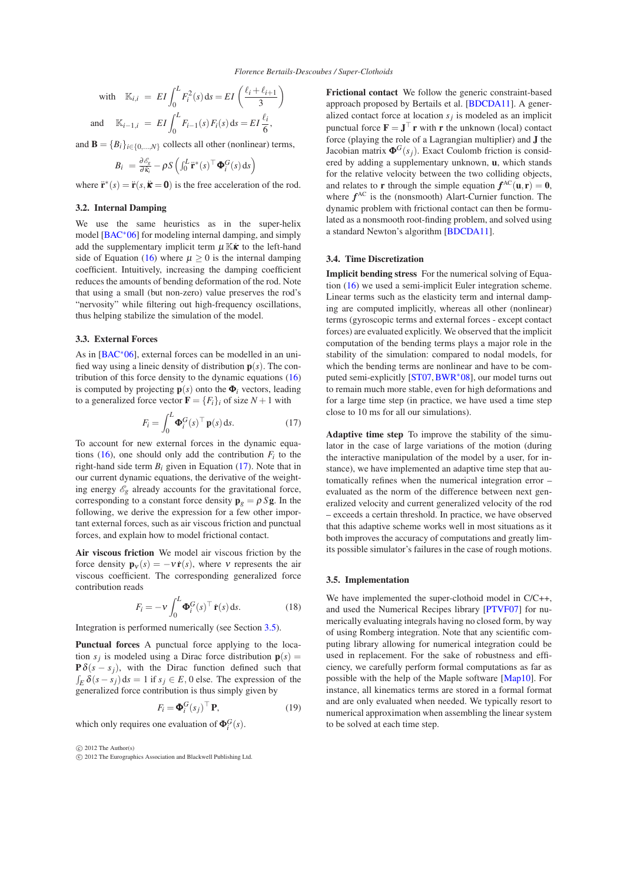<span id="page-5-3"></span>with 
$$
\mathbb{K}_{i,i} = EI \int_0^L F_i^2(s) ds = EI\left(\frac{\ell_i + \ell_{i+1}}{3}\right)
$$
  
and  $\mathbb{K}_{i-1,i} = EI \int_0^L F_{i-1}(s) F_i(s) ds = EI \frac{\ell_i}{6}$ ,

and  $\mathbf{B} = \{B_i\}_{i \in \{0, ..., N\}}$  collects all other (nonlinear) terms,

$$
B_i = \frac{\partial \mathcal{E}_g}{\partial \hat{\kappa}_i} - \rho S \left( \int_0^L \ddot{\mathbf{r}}^*(s)^\top \boldsymbol{\Phi}_i^G(s) \, ds \right)
$$

<span id="page-5-2"></span>where  $\ddot{\mathbf{r}}^*(s) = \ddot{\mathbf{r}}(s, \dot{\mathbf{k}} = \mathbf{0})$  is the free acceleration of the rod.

### **3.2. Internal Damping**

We use the same heuristics as in the super-helix model [\[BAC](#page-9-0)∗06] for modeling internal damping, and simply add the supplementary implicit term  $\mu$  K $\dot{\boldsymbol{\kappa}}$  to the left-hand side of Equation [\(16\)](#page-4-5) where  $\mu \ge 0$  is the internal damping coefficient. Intuitively, increasing the damping coefficient reduces the amounts of bending deformation of the rod. Note that using a small (but non-zero) value preserves the rod's "nervosity" while filtering out high-frequency oscillations, thus helping stabilize the simulation of the model.

## **3.3. External Forces**

As in [\[BAC](#page-9-0)∗06], external forces can be modelled in an unified way using a lineic density of distribution **p**(*s*). The contribution of this force density to the dynamic equations [\(16\)](#page-4-5) is computed by projecting  $\mathbf{p}(s)$  onto the  $\mathbf{\Phi}_i$  vectors, leading to a generalized force vector  $\mathbf{F} = \{F_i\}$  of size  $N+1$  with

$$
F_i = \int_0^L \mathbf{\Phi}_i^G(s)^\top \mathbf{p}(s) \, \mathrm{d}s. \tag{17}
$$

To account for new external forces in the dynamic equations  $(16)$ , one should only add the contribution  $F_i$  to the right-hand side term  $B_i$  given in Equation [\(17\)](#page-5-0). Note that in our current dynamic equations, the derivative of the weighting energy  $\mathscr{E}_g$  already accounts for the gravitational force, corresponding to a constant force density  $\mathbf{p}_g = \rho S \mathbf{g}$ . In the following, we derive the expression for a few other important external forces, such as air viscous friction and punctual forces, and explain how to model frictional contact.

**Air viscous friction** We model air viscous friction by the force density  $\mathbf{p}_v(s) = -v \dot{\mathbf{r}}(s)$ , where v represents the air viscous coefficient. The corresponding generalized force contribution reads

$$
F_i = -\nu \int_0^L \mathbf{\Phi}_i^G(s)^\top \dot{\mathbf{r}}(s) \, \mathrm{d}s. \tag{18}
$$

Integration is performed numerically (see Section [3.5\)](#page-5-1).

**Punctual forces** A punctual force applying to the location  $s_j$  is modeled using a Dirac force distribution  $p(s) =$ **P** $\delta(s - s_j)$ , with the Dirac function defined such that  $\int_E \delta(s - s_j) ds = 1$  if  $s_j \in E$ , 0 else. The expression of the generalized force contribution is thus simply given by

$$
F_i = \mathbf{\Phi}_i^G(s_j)^\top \mathbf{P},\tag{19}
$$

which only requires one evaluation of  $\Phi_i^G$ (*s*).

 $\odot$  2012 The Author(s)

**Frictional contact** We follow the generic constraint-based approach proposed by Bertails et al. [\[BDCDA11\]](#page-10-18). A generalized contact force at location  $s_j$  is modeled as an implicit punctual force  $\mathbf{F} = \mathbf{J}^\top \mathbf{r}$  with **r** the unknown (local) contact force (playing the role of a Lagrangian multiplier) and **J** the Jacobian matrix  $\mathbf{\Phi}^{G}(s_i)$ . Exact Coulomb friction is considered by adding a supplementary unknown, **u**, which stands for the relative velocity between the two colliding objects, and relates to **r** through the simple equation  $f^{AC}(\mathbf{u}, \mathbf{r}) = \mathbf{0}$ , where  $f^{AC}$  is the (nonsmooth) Alart-Curnier function. The dynamic problem with frictional contact can then be formulated as a nonsmooth root-finding problem, and solved using a standard Newton's algorithm [\[BDCDA11\]](#page-10-18).

## **3.4. Time Discretization**

**Implicit bending stress** For the numerical solving of Equation [\(16\)](#page-4-5) we used a semi-implicit Euler integration scheme. Linear terms such as the elasticity term and internal damping are computed implicitly, whereas all other (nonlinear) terms (gyroscopic terms and external forces - except contact forces) are evaluated explicitly. We observed that the implicit computation of the bending terms plays a major role in the stability of the simulation: compared to nodal models, for which the bending terms are nonlinear and have to be com-puted semi-explicitly [\[ST07,](#page-10-8) [BWR](#page-10-11)<sup>∗</sup>08], our model turns out to remain much more stable, even for high deformations and for a large time step (in practice, we have used a time step close to 10 ms for all our simulations).

<span id="page-5-0"></span>**Adaptive time step** To improve the stability of the simulator in the case of large variations of the motion (during the interactive manipulation of the model by a user, for instance), we have implemented an adaptive time step that automatically refines when the numerical integration error – evaluated as the norm of the difference between next generalized velocity and current generalized velocity of the rod – exceeds a certain threshold. In practice, we have observed that this adaptive scheme works well in most situations as it both improves the accuracy of computations and greatly limits possible simulator's failures in the case of rough motions.

## <span id="page-5-1"></span>**3.5. Implementation**

We have implemented the super-clothoid model in C/C++, and used the Numerical Recipes library [\[PTVF07\]](#page-10-17) for numerically evaluating integrals having no closed form, by way of using Romberg integration. Note that any scientific computing library allowing for numerical integration could be used in replacement. For the sake of robustness and efficiency, we carefully perform formal computations as far as possible with the help of the Maple software [\[Map10\]](#page-10-19). For instance, all kinematics terms are stored in a formal format and are only evaluated when needed. We typically resort to numerical approximation when assembling the linear system to be solved at each time step.

c 2012 The Eurographics Association and Blackwell Publishing Ltd.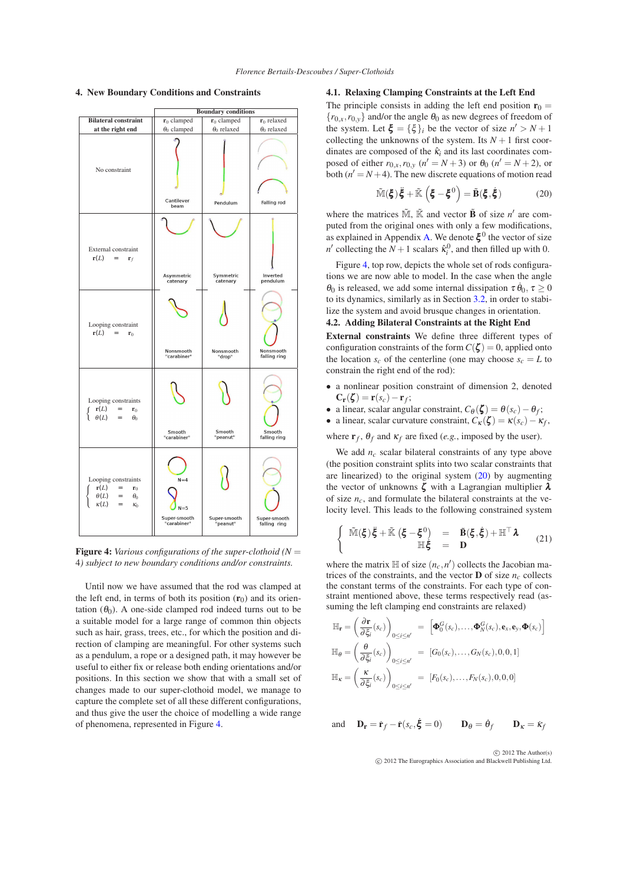## <span id="page-6-2"></span><span id="page-6-0"></span>**4. New Boundary Conditions and Constraints**



**Figure 4:** *Various configurations of the super-clothoid (N* = 4*) subject to new boundary conditions and/or constraints.*

Until now we have assumed that the rod was clamped at the left end, in terms of both its position  $(r_0)$  and its orientation  $(\theta_0)$ . A one-side clamped rod indeed turns out to be a suitable model for a large range of common thin objects such as hair, grass, trees, etc., for which the position and direction of clamping are meaningful. For other systems such as a pendulum, a rope or a designed path, it may however be useful to either fix or release both ending orientations and/or positions. In this section we show that with a small set of changes made to our super-clothoid model, we manage to capture the complete set of all these different configurations, and thus give the user the choice of modelling a wide range of phenomena, represented in Figure [4.](#page-6-2)

### <span id="page-6-1"></span>**4.1. Relaxing Clamping Constraints at the Left End**

The principle consists in adding the left end position  $\mathbf{r}_0 =$  ${r_{0,x}, r_{0,y}}$  and/or the angle  $\theta_0$  as new degrees of freedom of the system. Let  $\xi = {\xi}_i$  be the vector of size  $n' > N + 1$ collecting the unknowns of the system. Its  $N+1$  first coordinates are composed of the  $\hat{\kappa}_i$  and its last coordinates composed of either  $r_{0,x}$ ,  $r_{0,y}$  ( $n' = N + 3$ ) or  $\theta_0$  ( $n' = N + 2$ ), or both  $(n' = N + 4)$ . The new discrete equations of motion read

<span id="page-6-3"></span>
$$
\widetilde{\mathbb{M}}(\boldsymbol{\xi})\ddot{\boldsymbol{\xi}} + \widetilde{\mathbb{K}}\left(\boldsymbol{\xi} - \boldsymbol{\xi}^{0}\right) = \widetilde{\mathbf{B}}(\boldsymbol{\xi}, \dot{\boldsymbol{\xi}})
$$
(20)

where the matrices  $\tilde{M}$ ,  $\tilde{K}$  and vector  $\tilde{B}$  of size *n'* are computed from the original ones with only a few modifications, as explained in Appendix [A.](#page-10-20) We denote  $\xi^0$  the vector of size *n'* collecting the  $N + 1$  scalars  $\hat{\kappa}_i^0$ , and then filled up with 0.

Figure [4,](#page-6-2) top row, depicts the whole set of rods configurations we are now able to model. In the case when the angle  $\theta_0$  is released, we add some internal dissipation  $\tau \dot{\theta}_0$ ,  $\tau \ge 0$ to its dynamics, similarly as in Section [3.2,](#page-5-2) in order to stabilize the system and avoid brusque changes in orientation.

#### **4.2. Adding Bilateral Constraints at the Right End**

**External constraints** We define three different types of configuration constraints of the form  $C(\zeta) = 0$ , applied onto the location  $s_c$  of the centerline (one may choose  $s_c = L$  to constrain the right end of the rod):

- a nonlinear position constraint of dimension 2, denoted  $\mathbf{C}_\mathbf{r}(\boldsymbol{\zeta}) = \mathbf{r}(s_c) - \mathbf{r}_f;$
- a linear, scalar angular constraint,  $C_{\theta}(\zeta) = \theta(s_c) \theta_f$ ;
- a linear, scalar curvature constraint,  $C_{\kappa}(\zeta) = \kappa(s_c) \kappa_f$ ,

where  $\mathbf{r}_f$ ,  $\theta_f$  and  $\kappa_f$  are fixed (*e.g.*, imposed by the user).

We add  $n_c$  scalar bilateral constraints of any type above (the position constraint splits into two scalar constraints that are linearized) to the original system  $(20)$  by augmenting the vector of unknowns  $\zeta$  with a Lagrangian multiplier  $\lambda$ of size  $n_c$ , and formulate the bilateral constraints at the velocity level. This leads to the following constrained system

$$
\begin{cases} \widetilde{\mathbb{M}}(\xi)\ddot{\xi} + \widetilde{\mathbb{K}}(\xi - \xi^0) & = \widetilde{\mathbf{B}}(\xi, \dot{\xi}) + \mathbb{H}^\top \lambda \\ \mathbb{H}\dot{\xi} & = \mathbf{D} \end{cases} (21)
$$

where the matrix  $\mathbb{H}$  of size  $(n_c, n')$  collects the Jacobian matrices of the constraints, and the vector **D** of size  $n_c$  collects the constant terms of the constraints. For each type of constraint mentioned above, these terms respectively read (assuming the left clamping end constraints are relaxed)

$$
\mathbb{H}_{\mathbf{r}} = \left(\frac{\partial \mathbf{r}}{\partial \xi_i}(s_c)\right)_{0 \le i \le n'} = \left[\mathbf{\Phi}_0^G(s_c), \dots, \mathbf{\Phi}_N^G(s_c), \mathbf{e}_x, \mathbf{e}_y, \mathbf{\Phi}(s_c)\right]
$$
\n
$$
\mathbb{H}_{\theta} = \left(\frac{\theta}{\partial \xi_i}(s_c)\right)_{0 \le i \le n'} = [G_0(s_c), \dots, G_N(s_c), 0, 0, 1]
$$
\n
$$
\mathbb{H}_{\mathbf{k}} = \left(\frac{\kappa}{\partial \xi_i}(s_c)\right)_{0 \le i \le n'} = [F_0(s_c), \dots, F_N(s_c), 0, 0, 0]
$$

and  $\mathbf{D}_\mathbf{r} = \dot{\mathbf{r}}_f - \dot{\mathbf{r}}(s_c, \dot{\boldsymbol{\xi}} = 0)$   $\mathbf{D}_\theta = \dot{\theta}$  $\mathbf{D}_\kappa = \dot{\kappa}_f$ 

> $\circ$  2012 The Author(s) c 2012 The Eurographics Association and Blackwell Publishing Ltd.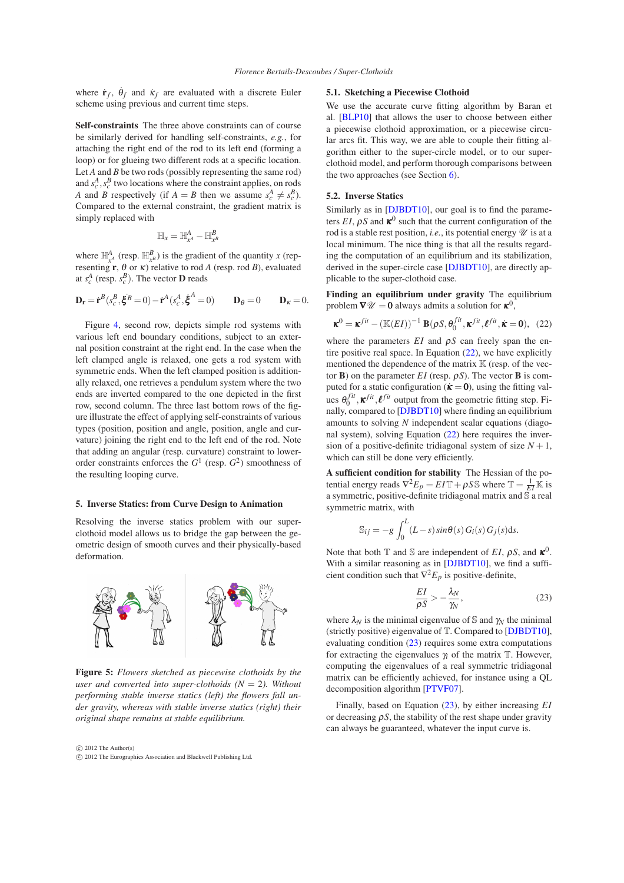<span id="page-7-3"></span>where  $\dot{\mathbf{r}}_f$ ,  $\dot{\theta}_f$  and  $\dot{\kappa}_f$  are evaluated with a discrete Euler scheme using previous and current time steps.

**Self-constraints** The three above constraints can of course be similarly derived for handling self-constraints, *e.g.*, for attaching the right end of the rod to its left end (forming a loop) or for glueing two different rods at a specific location. Let *A* and *B* be two rods (possibly representing the same rod) and  $s_c^A$ ,  $s_c^B$  two locations where the constraint applies, on rods *A* and *B* respectively (if  $A = B$  then we assume  $s_c^A \neq s_c^B$ ). Compared to the external constraint, the gradient matrix is simply replaced with

$$
\mathbb{H}_x=\mathbb{H}^A_{x^A}-\mathbb{H}^B_{x^B}
$$

where  $\mathbb{H}_{x^A}^A$  (resp.  $\mathbb{H}_{x^B}^B$ ) is the gradient of the quantity *x* (representing **r**,  $θ$  or  $κ$ ) relative to rod *A* (resp. rod *B*), evaluated at  $s_c^A$  (resp.  $s_c^B$ ). The vector **D** reads

$$
\mathbf{D}_{\mathbf{r}} = \dot{\mathbf{r}}^B(s_c^B, \dot{\xi}^B = 0) - \dot{\mathbf{r}}^A(s_c^A, \dot{\xi}^A = 0) \qquad \mathbf{D}_{\theta} = 0 \qquad \mathbf{D}_{\kappa} = 0.
$$

Figure [4,](#page-6-2) second row, depicts simple rod systems with various left end boundary conditions, subject to an external position constraint at the right end. In the case when the left clamped angle is relaxed, one gets a rod system with symmetric ends. When the left clamped position is additionally relaxed, one retrieves a pendulum system where the two ends are inverted compared to the one depicted in the first row, second column. The three last bottom rows of the figure illustrate the effect of applying self-constraints of various types (position, position and angle, position, angle and curvature) joining the right end to the left end of the rod. Note that adding an angular (resp. curvature) constraint to lowerorder constraints enforces the  $G^1$  (resp.  $G^2$ ) smoothness of the resulting looping curve.

## <span id="page-7-0"></span>**5. Inverse Statics: from Curve Design to Animation**

Resolving the inverse statics problem with our superclothoid model allows us to bridge the gap between the geometric design of smooth curves and their physically-based deformation.



**Figure 5:** *Flowers sketched as piecewise clothoids by the user and converted into super-clothoids (N* = 2*). Without performing stable inverse statics (left) the flowers fall under gravity, whereas with stable inverse statics (right) their original shape remains at stable equilibrium.*

 $\odot$  2012 The Author(s) c 2012 The Eurographics Association and Blackwell Publishing Ltd.

## **5.1. Sketching a Piecewise Clothoid**

We use the accurate curve fitting algorithm by Baran et al. [\[BLP10\]](#page-10-0) that allows the user to choose between either a piecewise clothoid approximation, or a piecewise circular arcs fit. This way, we are able to couple their fitting algorithm either to the super-circle model, or to our superclothoid model, and perform thorough comparisons between the two approaches (see Section [6\)](#page-8-0).

### **5.2. Inverse Statics**

Similarly as in [\[DJBDT10\]](#page-10-16), our goal is to find the parameters *EI*,  $\rho S$  and  $\kappa^0$  such that the current configuration of the rod is a stable rest position, *i.e.*, its potential energy  $\mathcal U$  is at a local minimum. The nice thing is that all the results regarding the computation of an equilibrium and its stabilization, derived in the super-circle case [\[DJBDT10\]](#page-10-16), are directly applicable to the super-clothoid case.

**Finding an equilibrium under gravity** The equilibrium problem  $\nabla \mathcal{U} = \mathbf{0}$  always admits a solution for  $\mathbf{\kappa}^0$ ,

<span id="page-7-1"></span>
$$
\mathbf{\kappa}^0 = \mathbf{\kappa}^{fit} - (\mathbb{K}(EI))^{-1} \mathbf{B}(\rho S, \theta_0^{fit}, \mathbf{\kappa}^{fit}, \ell^{fit}, \dot{\mathbf{\kappa}} = \mathbf{0}), \tag{22}
$$

where the parameters  $EI$  and  $\rho S$  can freely span the entire positive real space. In Equation  $(22)$ , we have explicitly mentioned the dependence of the matrix  $K$  (resp. of the vector **B**) on the parameter *EI* (resp.  $\rho S$ ). The vector **B** is computed for a static configuration ( $\dot{\mathbf{r}} = \mathbf{0}$ ), using the fitting values  $\theta_0^{fit}$ ,  $\boldsymbol{\kappa}^{fit}$ ,  $\ell^{fit}$  output from the geometric fitting step. Finally, compared to [\[DJBDT10\]](#page-10-16) where finding an equilibrium amounts to solving *N* independent scalar equations (diagonal system), solving Equation [\(22\)](#page-7-1) here requires the inversion of a positive-definite tridiagonal system of size  $N + 1$ , which can still be done very efficiently.

**A sufficient condition for stability** The Hessian of the potential energy reads  $\nabla^2 E_p = EI \mathbb{T} + \rho S \mathbb{S}$  where  $\mathbb{T} = \frac{1}{EI} \mathbb{K}$  is a symmetric, positive-definite tridiagonal matrix and S a real symmetric matrix, with

$$
\mathbb{S}_{ij} = -g \int_0^L (L - s) \sin \theta(s) G_i(s) G_j(s) \, ds.
$$

Note that both  $\mathbb T$  and  $\mathbb S$  are independent of *EI*,  $\rho S$ , and  $\mathbf{x}^0$ . With a similar reasoning as in [\[DJBDT10\]](#page-10-16), we find a sufficient condition such that  $\nabla^2 E_p$  is positive-definite,

<span id="page-7-2"></span>
$$
\frac{EI}{\rho S} > -\frac{\lambda_N}{\gamma_N},\tag{23}
$$

where  $\lambda_N$  is the minimal eigenvalue of S and  $\gamma_N$  the minimal (strictly positive) eigenvalue of T. Compared to [\[DJBDT10\]](#page-10-16), evaluating condition [\(23\)](#page-7-2) requires some extra computations for extracting the eigenvalues  $\gamma_i$  of the matrix  $\mathbb T$ . However, computing the eigenvalues of a real symmetric tridiagonal matrix can be efficiently achieved, for instance using a QL decomposition algorithm [\[PTVF07\]](#page-10-17).

Finally, based on Equation [\(23\)](#page-7-2), by either increasing *EI* or decreasing  $\rho S$ , the stability of the rest shape under gravity can always be guaranteed, whatever the input curve is.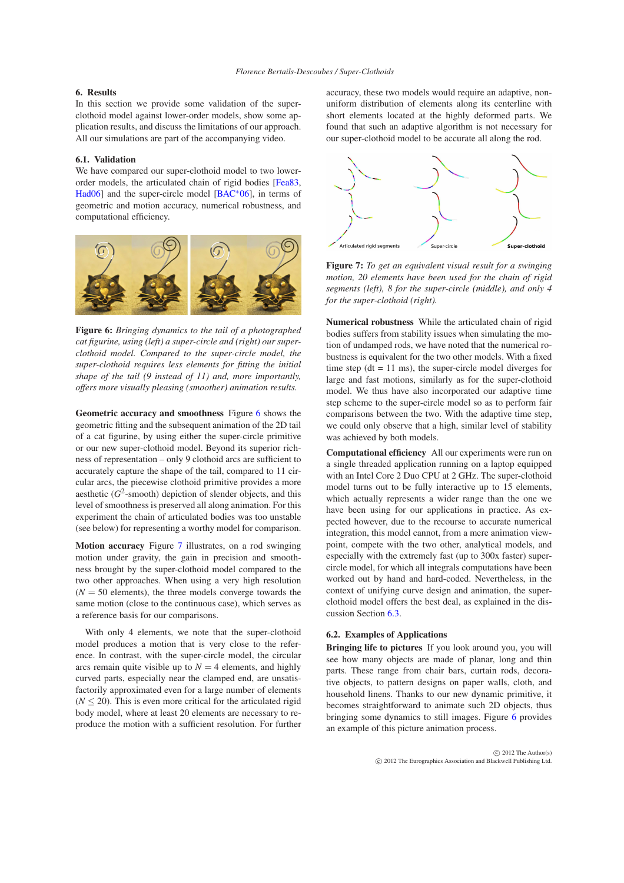## <span id="page-8-3"></span><span id="page-8-0"></span>**6. Results**

In this section we provide some validation of the superclothoid model against lower-order models, show some application results, and discuss the limitations of our approach. All our simulations are part of the accompanying video.

## **6.1. Validation**

We have compared our super-clothoid model to two lowerorder models, the articulated chain of rigid bodies [\[Fea83,](#page-10-21) [Had06\]](#page-10-14) and the super-circle model [\[BAC](#page-9-0)∗06], in terms of geometric and motion accuracy, numerical robustness, and computational efficiency.

<span id="page-8-1"></span>

**Figure 6:** *Bringing dynamics to the tail of a photographed cat figurine, using (left) a super-circle and (right) our superclothoid model. Compared to the super-circle model, the super-clothoid requires less elements for fitting the initial shape of the tail (9 instead of 11) and, more importantly, offers more visually pleasing (smoother) animation results.*

**Geometric accuracy and smoothness** Figure [6](#page-8-1) shows the geometric fitting and the subsequent animation of the 2D tail of a cat figurine, by using either the super-circle primitive or our new super-clothoid model. Beyond its superior richness of representation – only 9 clothoid arcs are sufficient to accurately capture the shape of the tail, compared to 11 circular arcs, the piecewise clothoid primitive provides a more aesthetic  $(G^2$ -smooth) depiction of slender objects, and this level of smoothness is preserved all along animation. For this experiment the chain of articulated bodies was too unstable (see below) for representing a worthy model for comparison.

**Motion accuracy** Figure [7](#page-8-2) illustrates, on a rod swinging motion under gravity, the gain in precision and smoothness brought by the super-clothoid model compared to the two other approaches. When using a very high resolution  $(N = 50$  elements), the three models converge towards the same motion (close to the continuous case), which serves as a reference basis for our comparisons.

With only 4 elements, we note that the super-clothoid model produces a motion that is very close to the reference. In contrast, with the super-circle model, the circular arcs remain quite visible up to  $N = 4$  elements, and highly curved parts, especially near the clamped end, are unsatisfactorily approximated even for a large number of elements  $(N \leq 20)$ . This is even more critical for the articulated rigid body model, where at least 20 elements are necessary to reproduce the motion with a sufficient resolution. For further

accuracy, these two models would require an adaptive, nonuniform distribution of elements along its centerline with short elements located at the highly deformed parts. We found that such an adaptive algorithm is not necessary for our super-clothoid model to be accurate all along the rod.

<span id="page-8-2"></span>

**Figure 7:** *To get an equivalent visual result for a swinging motion, 20 elements have been used for the chain of rigid segments (left), 8 for the super-circle (middle), and only 4 for the super-clothoid (right).*

**Numerical robustness** While the articulated chain of rigid bodies suffers from stability issues when simulating the motion of undamped rods, we have noted that the numerical robustness is equivalent for the two other models. With a fixed time step ( $dt = 11$  ms), the super-circle model diverges for large and fast motions, similarly as for the super-clothoid model. We thus have also incorporated our adaptive time step scheme to the super-circle model so as to perform fair comparisons between the two. With the adaptive time step, we could only observe that a high, similar level of stability was achieved by both models.

**Computational efficiency** All our experiments were run on a single threaded application running on a laptop equipped with an Intel Core 2 Duo CPU at 2 GHz. The super-clothoid model turns out to be fully interactive up to 15 elements, which actually represents a wider range than the one we have been using for our applications in practice. As expected however, due to the recourse to accurate numerical integration, this model cannot, from a mere animation viewpoint, compete with the two other, analytical models, and especially with the extremely fast (up to 300x faster) supercircle model, for which all integrals computations have been worked out by hand and hard-coded. Nevertheless, in the context of unifying curve design and animation, the superclothoid model offers the best deal, as explained in the discussion Section [6.3.](#page-9-2)

### **6.2. Examples of Applications**

**Bringing life to pictures** If you look around you, you will see how many objects are made of planar, long and thin parts. These range from chair bars, curtain rods, decorative objects, to pattern designs on paper walls, cloth, and household linens. Thanks to our new dynamic primitive, it becomes straightforward to animate such 2D objects, thus bringing some dynamics to still images. Figure [6](#page-8-1) provides an example of this picture animation process.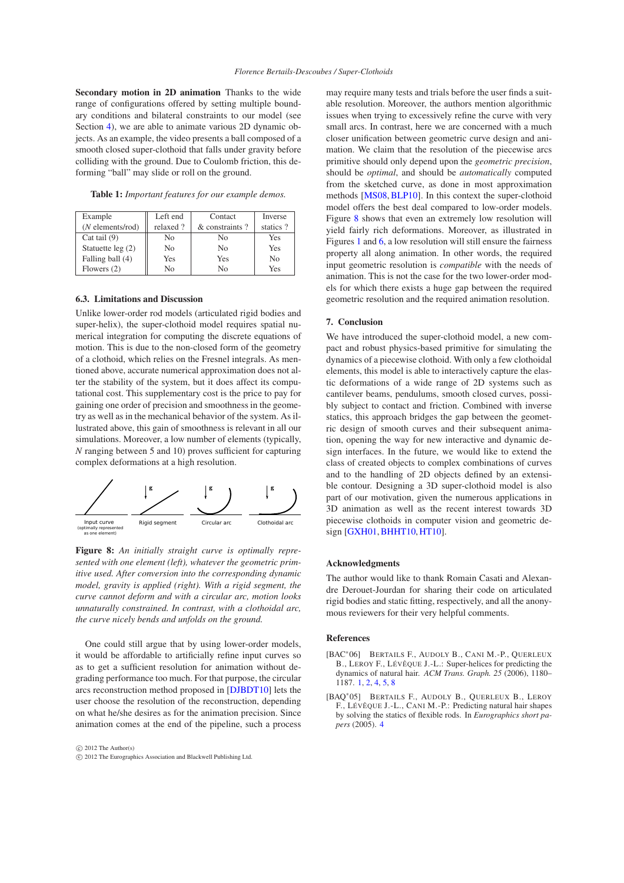<span id="page-9-4"></span>**Secondary motion in 2D animation** Thanks to the wide range of configurations offered by setting multiple boundary conditions and bilateral constraints to our model (see Section [4\)](#page-6-0), we are able to animate various 2D dynamic objects. As an example, the video presents a ball composed of a smooth closed super-clothoid that falls under gravity before colliding with the ground. Due to Coulomb friction, this deforming "ball" may slide or roll on the ground.

| Example             | Left end | Contact        | Inverse        |
|---------------------|----------|----------------|----------------|
| $(N$ elements/rod)  | relaxed? | & constraints? | statics?       |
| Cat tail $(9)$      | Nο       | No             | Yes            |
| Statuette leg $(2)$ | No       | N <sub>0</sub> | Yes            |
| Falling ball (4)    | Yes      | Yes            | N <sub>0</sub> |
| Flowers $(2)$       | Nο       | No             | Yes            |

**Table 1:** *Important features for our example demos.*

#### <span id="page-9-2"></span>**6.3. Limitations and Discussion**

Unlike lower-order rod models (articulated rigid bodies and super-helix), the super-clothoid model requires spatial numerical integration for computing the discrete equations of motion. This is due to the non-closed form of the geometry of a clothoid, which relies on the Fresnel integrals. As mentioned above, accurate numerical approximation does not alter the stability of the system, but it does affect its computational cost. This supplementary cost is the price to pay for gaining one order of precision and smoothness in the geometry as well as in the mechanical behavior of the system. As illustrated above, this gain of smoothness is relevant in all our simulations. Moreover, a low number of elements (typically, *N* ranging between 5 and 10) proves sufficient for capturing complex deformations at a high resolution.

<span id="page-9-3"></span>

**Figure 8:** *An initially straight curve is optimally represented with one element (left), whatever the geometric primitive used. After conversion into the corresponding dynamic model, gravity is applied (right). With a rigid segment, the curve cannot deform and with a circular arc, motion looks unnaturally constrained. In contrast, with a clothoidal arc, the curve nicely bends and unfolds on the ground.*

One could still argue that by using lower-order models, it would be affordable to artificially refine input curves so as to get a sufficient resolution for animation without degrading performance too much. For that purpose, the circular arcs reconstruction method proposed in [\[DJBDT10\]](#page-10-16) lets the user choose the resolution of the reconstruction, depending on what he/she desires as for the animation precision. Since animation comes at the end of the pipeline, such a process

 $\odot$  2012 The Author(s)  $\odot$  2012 The Eurographics Association and Blackwell Publishing Ltd. may require many tests and trials before the user finds a suitable resolution. Moreover, the authors mention algorithmic issues when trying to excessively refine the curve with very small arcs. In contrast, here we are concerned with a much closer unification between geometric curve design and animation. We claim that the resolution of the piecewise arcs primitive should only depend upon the *geometric precision*, should be *optimal*, and should be *automatically* computed from the sketched curve, as done in most approximation methods [\[MS08,](#page-10-6) [BLP10\]](#page-10-0). In this context the super-clothoid model offers the best deal compared to low-order models. Figure [8](#page-9-3) shows that even an extremely low resolution will yield fairly rich deformations. Moreover, as illustrated in Figures [1](#page-1-0) and [6,](#page-8-1) a low resolution will still ensure the fairness property all along animation. In other words, the required input geometric resolution is *compatible* with the needs of animation. This is not the case for the two lower-order models for which there exists a huge gap between the required geometric resolution and the required animation resolution.

### **7. Conclusion**

We have introduced the super-clothoid model, a new compact and robust physics-based primitive for simulating the dynamics of a piecewise clothoid. With only a few clothoidal elements, this model is able to interactively capture the elastic deformations of a wide range of 2D systems such as cantilever beams, pendulums, smooth closed curves, possibly subject to contact and friction. Combined with inverse statics, this approach bridges the gap between the geometric design of smooth curves and their subsequent animation, opening the way for new interactive and dynamic design interfaces. In the future, we would like to extend the class of created objects to complex combinations of curves and to the handling of 2D objects defined by an extensible contour. Designing a 3D super-clothoid model is also part of our motivation, given the numerous applications in 3D animation as well as the recent interest towards 3D piecewise clothoids in computer vision and geometric de-sign [\[GXH01,](#page-10-22) [BHHT10,](#page-10-23) [HT10\]](#page-10-3).

#### **Acknowledgments**

The author would like to thank Romain Casati and Alexandre Derouet-Jourdan for sharing their code on articulated rigid bodies and static fitting, respectively, and all the anonymous reviewers for their very helpful comments.

#### **References**

- <span id="page-9-0"></span>[BAC∗06] BERTAILS F., AUDOLY B., CANI M.-P., QUERLEUX B., LEROY F., LÉVÊQUE J.-L.: Super-helices for predicting the dynamics of natural hair. *ACM Trans. Graph. 25* (2006), 1180– 1187. [1,](#page-1-1) [2,](#page-2-0) [4,](#page-4-6) [5,](#page-5-3) [8](#page-8-3)
- <span id="page-9-1"></span>[BAQ∗05] BERTAILS F., AUDOLY B., QUERLEUX B., LEROY F., LÉVÊQUE J.-L., CANI M.-P.: Predicting natural hair shapes by solving the statics of flexible rods. In *Eurographics short papers* (2005). [4](#page-4-6)